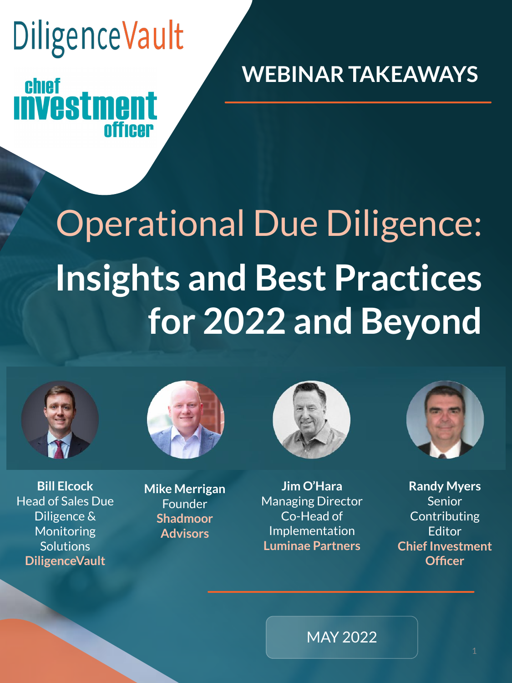## **DiligenceVault** chief **Investment**

**officer** 

**WEBINAR TAKEAWAYS**

# Operational Due Diligence: **Insights and Best Practices for 2022 and Beyond**



**Bill Elcock** Head of Sales Due Diligence & Monitoring **Solutions DiligenceVault**



**Mike Merrigan Founder Shadmoor Advisors**



**Jim O'Hara** Managing Director Co-Head of Implementation **Luminae Partners**



**Randy Myers** Senior Contributing Editor **Chief Investment Officer**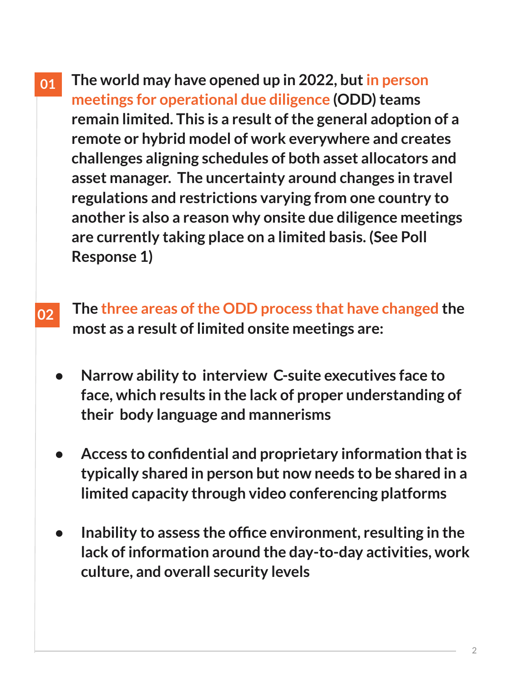- **The world may have opened up in 2022, but in person meetings for operational due diligence (ODD) teams remain limited. This is a result of the general adoption of a remote or hybrid model of work everywhere and creates challenges aligning schedules of both asset allocators and asset manager. The uncertainty around changes in travel regulations and restrictions varying from one country to another is also a reason why onsite due diligence meetings are currently taking place on a limited basis. (See Poll Response 1) 01**
- **The three areas of the ODD process that have changed the most as a result of limited onsite meetings are: 02**
	- **● Narrow ability to interview C-suite executives face to face, which results in the lack of proper understanding of their body language and mannerisms**
	- **● Access to confidential and proprietary information that is typically shared in person but now needs to be shared in a limited capacity through video conferencing platforms**
	- **● Inability to assess the office environment, resulting in the lack of information around the day-to-day activities, work culture, and overall security levels**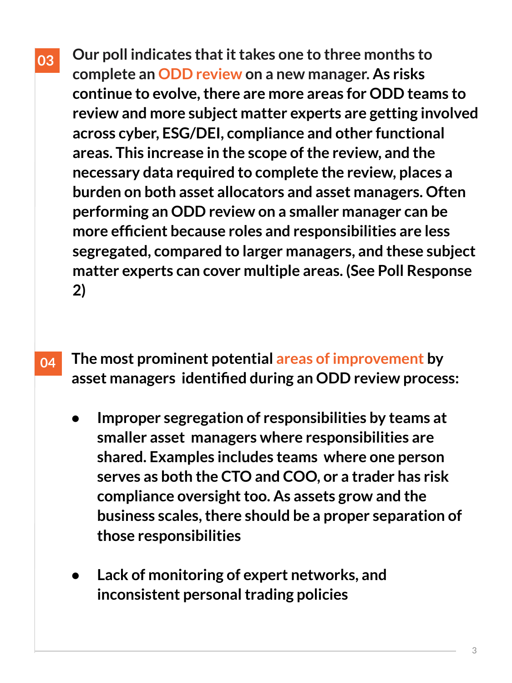- **Our poll indicates that it takes one to three months to complete an ODD review on a new manager. As risks continue to evolve, there are more areas for ODD teams to review and more subject matter experts are getting involved across cyber, ESG/DEI, compliance and other functional areas. This increase in the scope of the review, and the necessary data required to complete the review, places a burden on both asset allocators and asset managers. Often performing an ODD review on a smaller manager can be more efficient because roles and responsibilities are less 03**
	- **segregated, compared to larger managers, and these subject matter experts can cover multiple areas. (See Poll Response 2)**
- **The most prominent potential areas of improvement by asset managers identified during an ODD review process: 04**
	- **● Improper segregation of responsibilities by teams at smaller asset managers where responsibilities are shared. Examples includes teams where one person serves as both the CTO and COO, or a trader has risk compliance oversight too. As assets grow and the business scales, there should be a proper separation of those responsibilities**
	- **● Lack of monitoring of expert networks, and inconsistent personal trading policies**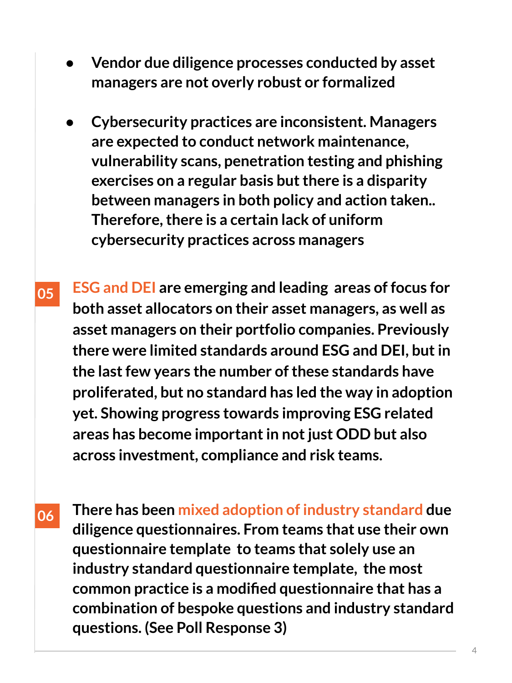- **● Vendor due diligence processes conducted by asset managers are not overly robust or formalized**
- **● Cybersecurity practices are inconsistent. Managers are expected to conduct network maintenance, vulnerability scans, penetration testing and phishing exercises on a regular basis but there is a disparity between managers in both policy and action taken.. Therefore, there is a certain lack of uniform cybersecurity practices across managers**
- **ESG and DEI are emerging and leading areas of focus for both asset allocators on their asset managers, as well as asset managers on their portfolio companies. Previously there were limited standards around ESG and DEI, but in the last few years the number of these standards have proliferated, but no standard has led the way in adoption yet. Showing progress towards improving ESG related areas has become important in not just ODD but also across investment, compliance and risk teams. 05**
- **There has been mixed adoption of industry standard due diligence questionnaires. From teams that use their own questionnaire template to teams that solely use an industry standard questionnaire template, the most common practice is a modified questionnaire that has a combination of bespoke questions and industry standard questions. (See Poll Response 3) 06**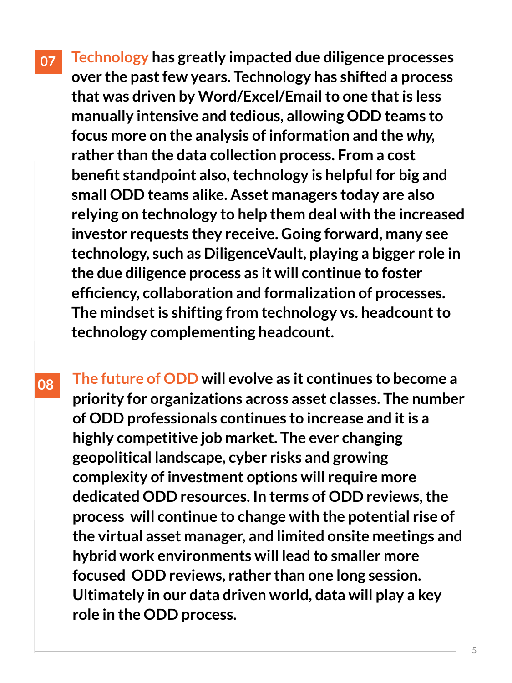**Technology has greatly impacted due diligence processes over the past few years. Technology has shifted a process that was driven by Word/Excel/Email to one that is less manually intensive and tedious, allowing ODD teams to focus more on the analysis of information and the** *why,*  **rather than the data collection process. From a cost benefit standpoint also, technology is helpful for big and small ODD teams alike. Asset managers today are also relying on technology to help them deal with the increased investor requests they receive. Going forward, many see technology, such as DiligenceVault, playing a bigger role in the due diligence process as it will continue to foster efficiency, collaboration and formalization of processes. The mindset is shifting from technology vs. headcount to technology complementing headcount. 07**

**The future of ODD will evolve as it continues to become a priority for organizations across asset classes. The number of ODD professionals continues to increase and it is a highly competitive job market. The ever changing geopolitical landscape, cyber risks and growing complexity of investment options will require more dedicated ODD resources. In terms of ODD reviews, the process will continue to change with the potential rise of the virtual asset manager, and limited onsite meetings and hybrid work environments will lead to smaller more focused ODD reviews, rather than one long session. Ultimately in our data driven world, data will play a key role in the ODD process. 08**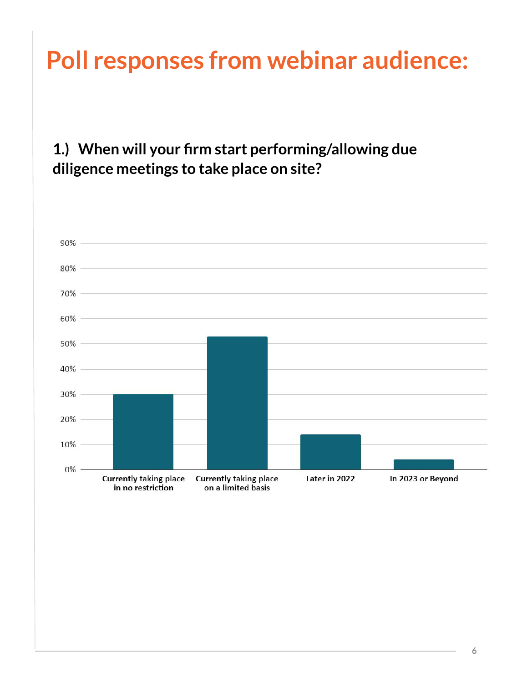### **Poll responses from webinar audience:**

#### **1.) When will your firm start performing/allowing due diligence meetings to take place on site?**

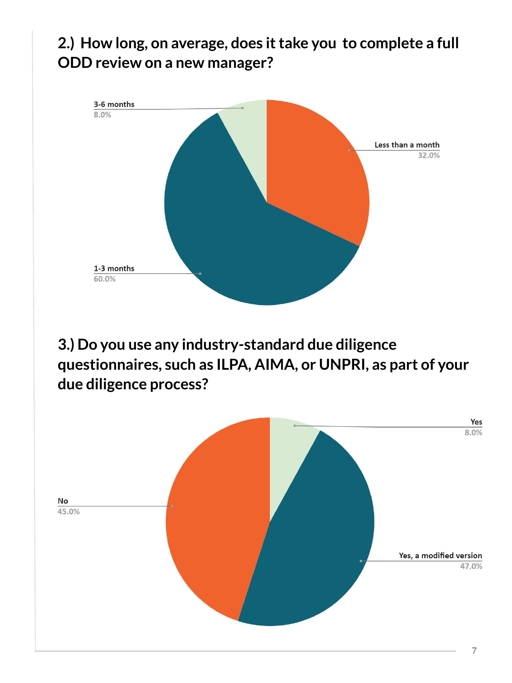#### **2.) How long, on average, does it take you to complete a full ODD review on a new manager?**



**3.) Do you use any industry-standard due diligence questionnaires, such as ILPA, AIMA, or UNPRI, as part of your due diligence process?**